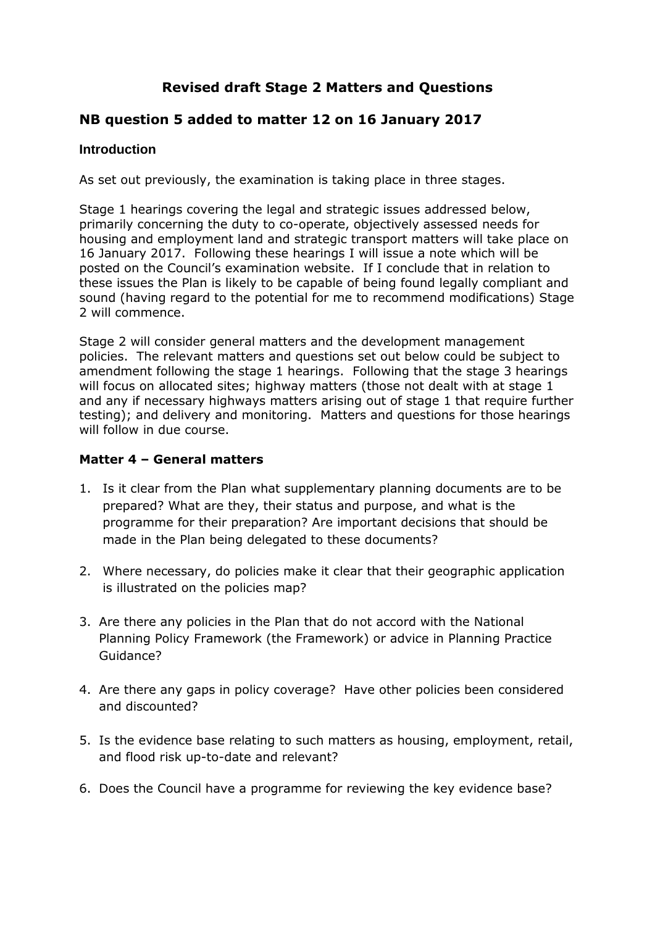# **Revised draft Stage 2 Matters and Questions**

## **NB question 5 added to matter 12 on 16 January 2017**

## **Introduction**

As set out previously, the examination is taking place in three stages.

Stage 1 hearings covering the legal and strategic issues addressed below, primarily concerning the duty to co-operate, objectively assessed needs for housing and employment land and strategic transport matters will take place on 16 January 2017. Following these hearings I will issue a note which will be posted on the Council's examination website. If I conclude that in relation to these issues the Plan is likely to be capable of being found legally compliant and sound (having regard to the potential for me to recommend modifications) Stage 2 will commence.

Stage 2 will consider general matters and the development management policies. The relevant matters and questions set out below could be subject to amendment following the stage 1 hearings. Following that the stage 3 hearings will focus on allocated sites; highway matters (those not dealt with at stage 1 and any if necessary highways matters arising out of stage 1 that require further testing); and delivery and monitoring. Matters and questions for those hearings will follow in due course.

## **Matter 4 – General matters**

- 1. Is it clear from the Plan what supplementary planning documents are to be prepared? What are they, their status and purpose, and what is the programme for their preparation? Are important decisions that should be made in the Plan being delegated to these documents?
- 2. Where necessary, do policies make it clear that their geographic application is illustrated on the policies map?
- 3. Are there any policies in the Plan that do not accord with the National Planning Policy Framework (the Framework) or advice in Planning Practice Guidance?
- 4. Are there any gaps in policy coverage? Have other policies been considered and discounted?
- 5. Is the evidence base relating to such matters as housing, employment, retail, and flood risk up-to-date and relevant?
- 6. Does the Council have a programme for reviewing the key evidence base?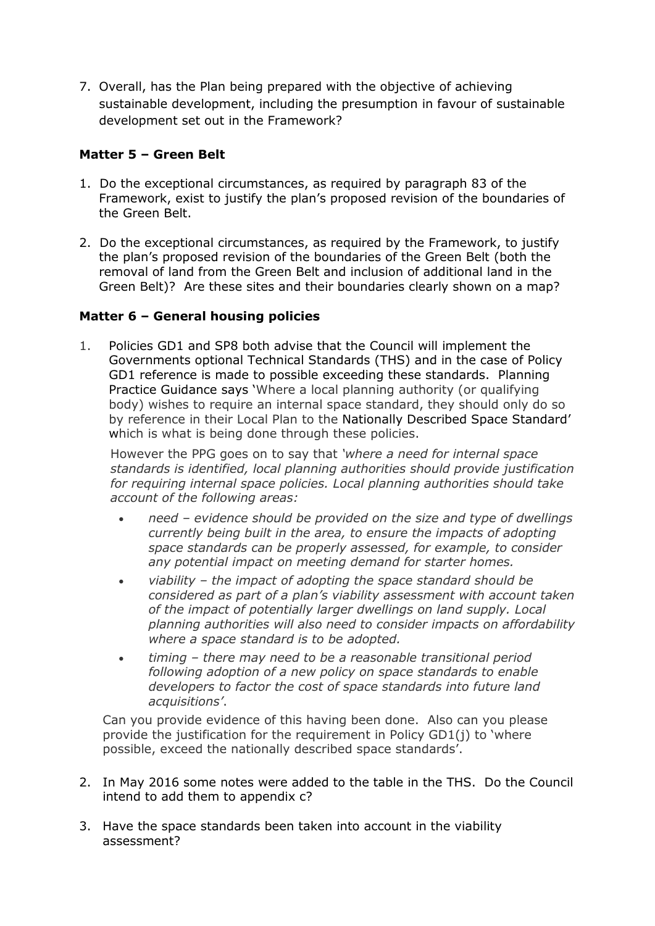7. Overall, has the Plan being prepared with the objective of achieving sustainable development, including the presumption in favour of sustainable development set out in the Framework?

### **Matter 5 – Green Belt**

- 1. Do the exceptional circumstances, as required by paragraph 83 of the Framework, exist to justify the plan's proposed revision of the boundaries of the Green Belt.
- 2. Do the exceptional circumstances, as required by the Framework, to justify the plan's proposed revision of the boundaries of the Green Belt (both the removal of land from the Green Belt and inclusion of additional land in the Green Belt)? Are these sites and their boundaries clearly shown on a map?

#### **Matter 6 – General housing policies**

1. Policies GD1 and SP8 both advise that the Council will implement the Governments optional Technical Standards (THS) and in the case of Policy GD1 reference is made to possible exceeding these standards. Planning Practice Guidance says 'Where a local planning authority (or qualifying body) wishes to require an internal space standard, they should only do so by reference in their Local Plan to the [Nationally Described Space Standard](https://www.gov.uk/government/publications/technical-housing-standards-nationally-described-space-standard)' which is what is being done through these policies.

However the PPG goes on to say that *'where a need for internal space standards is identified, local planning authorities should provide justification for requiring internal space policies. Local planning authorities should take account of the following areas:*

- *need – evidence should be provided on the size and type of dwellings currently being built in the area, to ensure the impacts of adopting space standards can be properly assessed, for example, to consider any potential impact on meeting demand for starter homes.*
- *viability – the impact of adopting the space standard should be considered as part of a plan's viability assessment with account taken of the impact of potentially larger dwellings on land supply. Local planning authorities will also need to consider impacts on affordability where a space standard is to be adopted.*
- *timing – there may need to be a reasonable transitional period following adoption of a new policy on space standards to enable developers to factor the cost of space standards into future land acquisitions'*.

Can you provide evidence of this having been done. Also can you please provide the justification for the requirement in Policy GD1(j) to 'where possible, exceed the nationally described space standards'.

- 2. In May 2016 some notes were added to the table in the THS. Do the Council intend to add them to appendix c?
- 3. Have the space standards been taken into account in the viability assessment?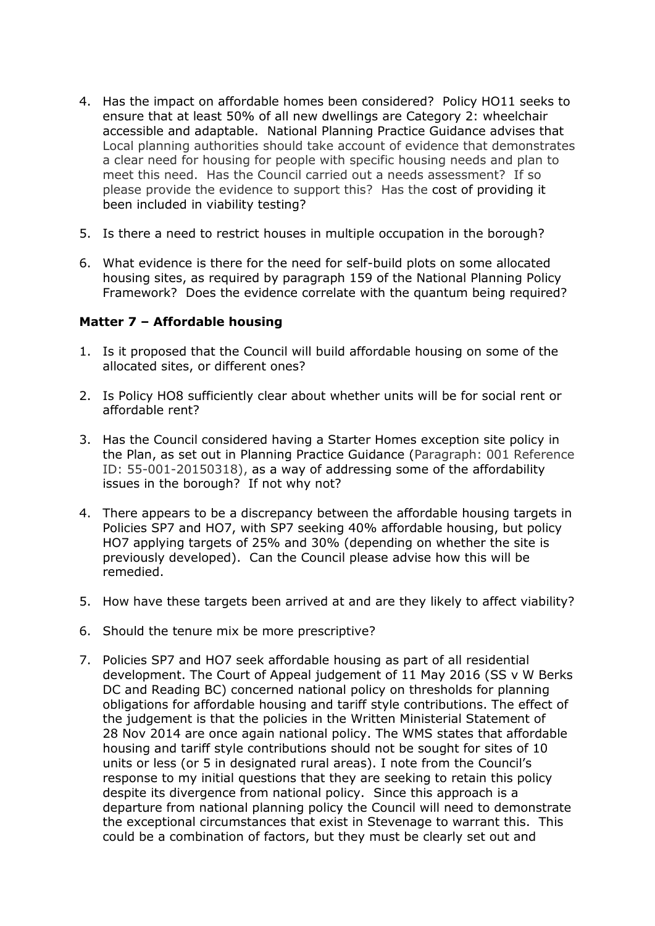- 4. Has the impact on affordable homes been considered? Policy HO11 seeks to ensure that at least 50% of all new dwellings are Category 2: wheelchair accessible and adaptable. National Planning Practice Guidance advises that Local planning authorities should take account of evidence that demonstrates a clear need for housing for people with specific housing needs and plan to meet this need. Has the Council carried out a needs assessment? If so please provide the evidence to support this? Has the cost of providing it been included in viability testing?
- 5. Is there a need to restrict houses in multiple occupation in the borough?
- 6. What evidence is there for the need for self-build plots on some allocated housing sites, as required by paragraph 159 of the National Planning Policy Framework? Does the evidence correlate with the quantum being required?

#### **Matter 7 – Affordable housing**

- 1. Is it proposed that the Council will build affordable housing on some of the allocated sites, or different ones?
- 2. Is Policy HO8 sufficiently clear about whether units will be for social rent or affordable rent?
- 3. Has the Council considered having a Starter Homes exception site policy in the Plan, as set out in Planning Practice Guidance (Paragraph: 001 Reference ID: 55-001-20150318), as a way of addressing some of the affordability issues in the borough? If not why not?
- 4. There appears to be a discrepancy between the affordable housing targets in Policies SP7 and HO7, with SP7 seeking 40% affordable housing, but policy HO7 applying targets of 25% and 30% (depending on whether the site is previously developed). Can the Council please advise how this will be remedied.
- 5. How have these targets been arrived at and are they likely to affect viability?
- 6. Should the tenure mix be more prescriptive?
- 7. Policies SP7 and HO7 seek affordable housing as part of all residential development. The Court of Appeal judgement of 11 May 2016 (SS v W Berks DC and Reading BC) concerned national policy on thresholds for planning obligations for affordable housing and tariff style contributions. The effect of the judgement is that the policies in the Written Ministerial Statement of 28 Nov 2014 are once again national policy. The WMS states that affordable housing and tariff style contributions should not be sought for sites of 10 units or less (or 5 in designated rural areas). I note from the Council's response to my initial questions that they are seeking to retain this policy despite its divergence from national policy. Since this approach is a departure from national planning policy the Council will need to demonstrate the exceptional circumstances that exist in Stevenage to warrant this. This could be a combination of factors, but they must be clearly set out and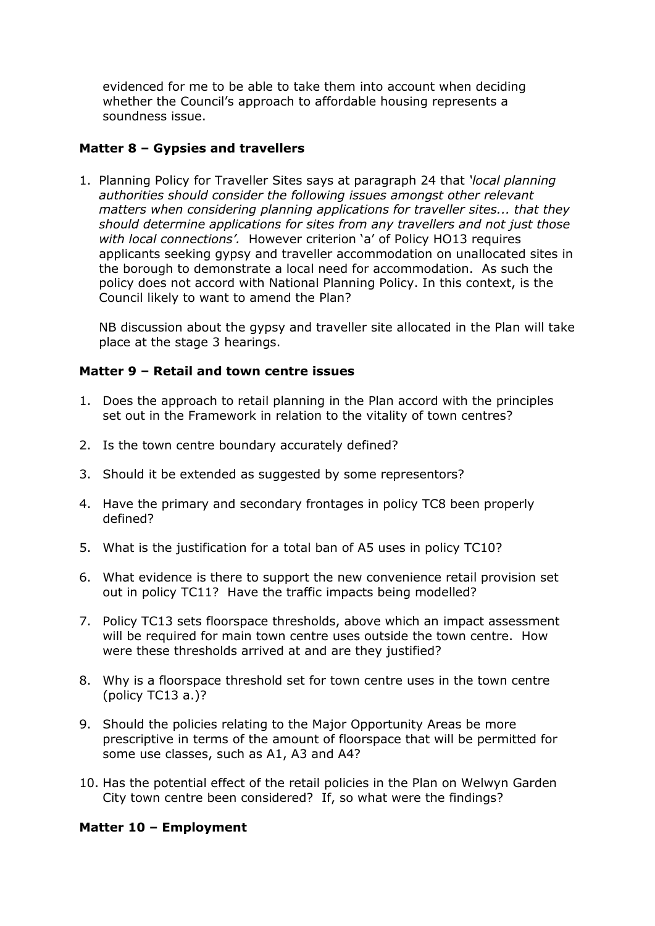evidenced for me to be able to take them into account when deciding whether the Council's approach to affordable housing represents a soundness issue.

#### **Matter 8 – Gypsies and travellers**

1. Planning Policy for Traveller Sites says at paragraph 24 that *'local planning authorities should consider the following issues amongst other relevant matters when considering planning applications for traveller sites... that they should determine applications for sites from any travellers and not just those with local connections'.* However criterion 'a' of Policy HO13 requires applicants seeking gypsy and traveller accommodation on unallocated sites in the borough to demonstrate a local need for accommodation. As such the policy does not accord with National Planning Policy. In this context, is the Council likely to want to amend the Plan?

NB discussion about the gypsy and traveller site allocated in the Plan will take place at the stage 3 hearings.

#### **Matter 9 – Retail and town centre issues**

- 1. Does the approach to retail planning in the Plan accord with the principles set out in the Framework in relation to the vitality of town centres?
- 2. Is the town centre boundary accurately defined?
- 3. Should it be extended as suggested by some representors?
- 4. Have the primary and secondary frontages in policy TC8 been properly defined?
- 5. What is the justification for a total ban of A5 uses in policy TC10?
- 6. What evidence is there to support the new convenience retail provision set out in policy TC11? Have the traffic impacts being modelled?
- 7. Policy TC13 sets floorspace thresholds, above which an impact assessment will be required for main town centre uses outside the town centre. How were these thresholds arrived at and are they justified?
- 8. Why is a floorspace threshold set for town centre uses in the town centre (policy TC13 a.)?
- 9. Should the policies relating to the Major Opportunity Areas be more prescriptive in terms of the amount of floorspace that will be permitted for some use classes, such as A1, A3 and A4?
- 10. Has the potential effect of the retail policies in the Plan on Welwyn Garden City town centre been considered? If, so what were the findings?

#### **Matter 10 – Employment**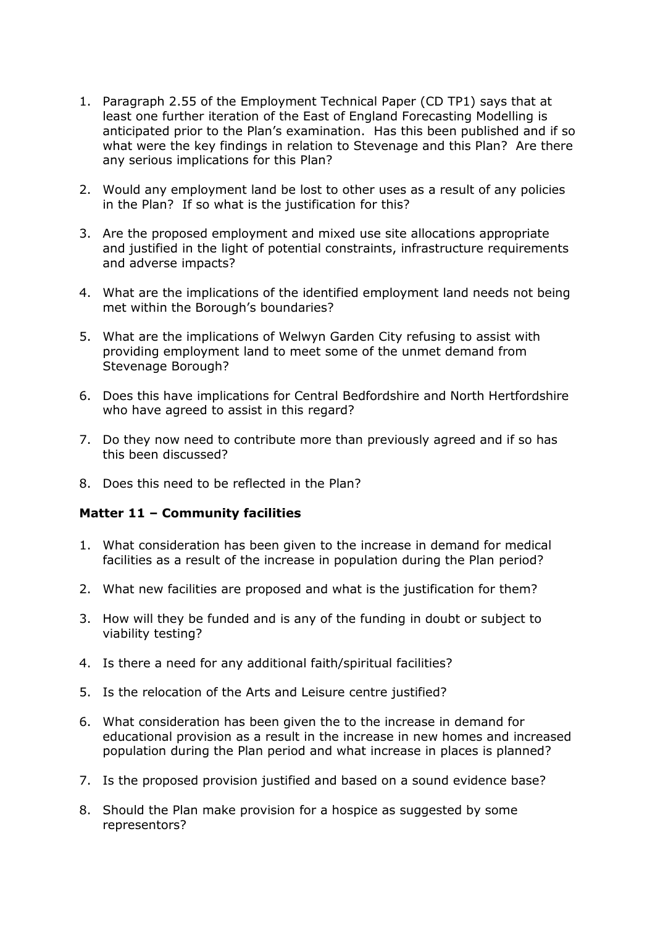- 1. Paragraph 2.55 of the Employment Technical Paper (CD TP1) says that at least one further iteration of the East of England Forecasting Modelling is anticipated prior to the Plan's examination. Has this been published and if so what were the key findings in relation to Stevenage and this Plan? Are there any serious implications for this Plan?
- 2. Would any employment land be lost to other uses as a result of any policies in the Plan? If so what is the justification for this?
- 3. Are the proposed employment and mixed use site allocations appropriate and justified in the light of potential constraints, infrastructure requirements and adverse impacts?
- 4. What are the implications of the identified employment land needs not being met within the Borough's boundaries?
- 5. What are the implications of Welwyn Garden City refusing to assist with providing employment land to meet some of the unmet demand from Stevenage Borough?
- 6. Does this have implications for Central Bedfordshire and North Hertfordshire who have agreed to assist in this regard?
- 7. Do they now need to contribute more than previously agreed and if so has this been discussed?
- 8. Does this need to be reflected in the Plan?

#### **Matter 11 – Community facilities**

- 1. What consideration has been given to the increase in demand for medical facilities as a result of the increase in population during the Plan period?
- 2. What new facilities are proposed and what is the justification for them?
- 3. How will they be funded and is any of the funding in doubt or subject to viability testing?
- 4. Is there a need for any additional faith/spiritual facilities?
- 5. Is the relocation of the Arts and Leisure centre justified?
- 6. What consideration has been given the to the increase in demand for educational provision as a result in the increase in new homes and increased population during the Plan period and what increase in places is planned?
- 7. Is the proposed provision justified and based on a sound evidence base?
- 8. Should the Plan make provision for a hospice as suggested by some representors?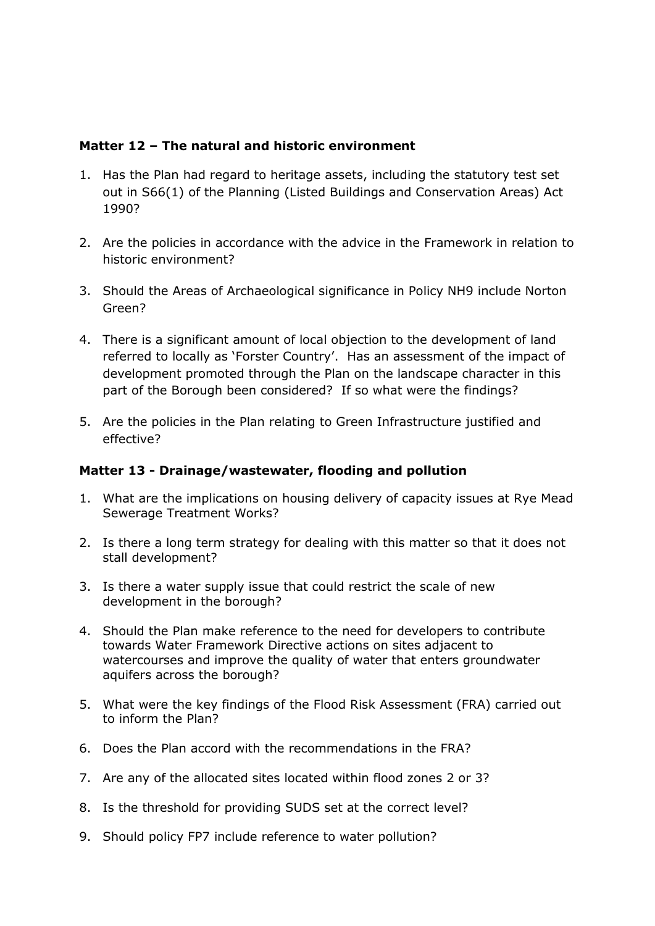#### **Matter 12 – The natural and historic environment**

- 1. Has the Plan had regard to heritage assets, including the statutory test set out in S66(1) of the Planning (Listed Buildings and Conservation Areas) Act 1990?
- 2. Are the policies in accordance with the advice in the Framework in relation to historic environment?
- 3. Should the Areas of Archaeological significance in Policy NH9 include Norton Green?
- 4. There is a significant amount of local objection to the development of land referred to locally as 'Forster Country'. Has an assessment of the impact of development promoted through the Plan on the landscape character in this part of the Borough been considered? If so what were the findings?
- 5. Are the policies in the Plan relating to Green Infrastructure justified and effective?

#### **Matter 13 - Drainage/wastewater, flooding and pollution**

- 1. What are the implications on housing delivery of capacity issues at Rye Mead Sewerage Treatment Works?
- 2. Is there a long term strategy for dealing with this matter so that it does not stall development?
- 3. Is there a water supply issue that could restrict the scale of new development in the borough?
- 4. Should the Plan make reference to the need for developers to contribute towards Water Framework Directive actions on sites adjacent to watercourses and improve the quality of water that enters groundwater aquifers across the borough?
- 5. What were the key findings of the Flood Risk Assessment (FRA) carried out to inform the Plan?
- 6. Does the Plan accord with the recommendations in the FRA?
- 7. Are any of the allocated sites located within flood zones 2 or 3?
- 8. Is the threshold for providing SUDS set at the correct level?
- 9. Should policy FP7 include reference to water pollution?